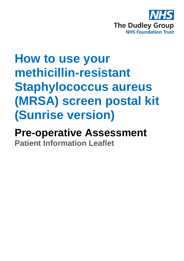

# **How to use your methicillin-resistant Staphylococcus aureus (MRSA) screen postal kit (Sunrise version)**

## **Pre-operative Assessment Patient Information Leaflet**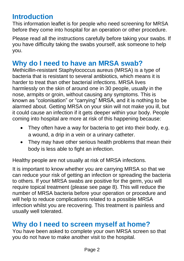## **Introduction**

This information leaflet is for people who need screening for MRSA before they come into hospital for an operation or other procedure.

Please read all the instructions carefully before taking your swabs. If you have difficulty taking the swabs yourself, ask someone to help you.

## **Why do I need to have an MRSA swab?**

Methicillin-resistant Staphylococcus aureus (MRSA) is a type of bacteria that is resistant to several antibiotics, which means it is harder to treat than other bacterial infections. MRSA lives harmlessly on the skin of around one in 30 people, usually in the nose, armpits or groin, without causing any symptoms. This is known as "colonisation" or "carrying" MRSA, and it is nothing to be alarmed about. Getting MRSA on your skin will not make you ill, but it could cause an infection if it gets deeper within your body. People coming into hospital are more at risk of this happening because:

- They often have a way for bacteria to get into their body, e.g. a wound, a drip in a vein or a urinary catheter.
- They may have other serious health problems that mean their body is less able to fight an infection.

Healthy people are not usually at risk of MRSA infections.

It is important to know whether you are carrying MRSA so that we can reduce your risk of getting an infection or spreading the bacteria to others. If your MRSA swabs are positive for the germ, you will require topical treatment (please see page 8). This will reduce the number of MRSA bacteria before your operation or procedure and will help to reduce complications related to a possible MRSA infection whilst you are recovering. This treatment is painless and usually well tolerated.

## **Why do I need to screen myself at home?**

You have been asked to complete your own MRSA screen so that you do not have to make another visit to the hospital.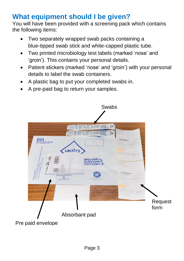## **What equipment should I be given?**

You will have been provided with a screening pack which contains the following items:

- Two separately wrapped swab packs containing a blue-tipped swab stick and white-capped plastic tube.
- Two printed microbiology test labels (marked 'nose' and 'groin'). This contains your personal details.
- Patient stickers (marked 'nose' and 'groin') with your personal details to label the swab containers.
- A plastic bag to put your completed swabs in.
- A pre-paid bag to return your samples.

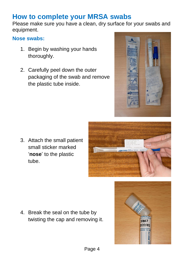## **How to complete your MRSA swabs**

Please make sure you have a clean, dry surface for your swabs and equipment.

#### **Nose swabs:**

- 1. Begin by washing your hands thoroughly.
- 2. Carefully peel down the outer packaging of the swab and remove the plastic tube inside.



3. Attach the small patient small sticker marked '**nose**' to the plastic tube.

4. Break the seal on the tube by twisting the cap and removing it.



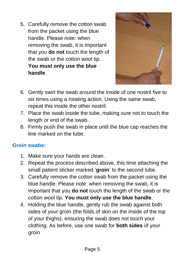5. Carefully remove the cotton swab from the packet using the blue handle. Please note: when removing the swab, it is important that you **do not** touch the length of the swab or the cotton wool tip. **You must only use the blue handle**.



- 6. Gently swirl the swab around the inside of one nostril five to six times using a rotating action. Using the same swab, repeat this inside the other nostril.
- 7. Place the swab inside the tube, making sure not to touch the length or end of the swab.
- 8. Firmly push the swab in place until the blue cap reaches the line marked on the tube.

#### **Groin swabs:**

- 1. Make sure your hands are clean.
- 2. Repeat the process described above, this time attaching the small patient sticker marked '**groin**' to the second tube.
- 3. Carefully remove the cotton swab from the packet using the blue handle. Please note: when removing the swab, it is important that you **do not** touch the length of the swab or the cotton wool tip. **You must only use the blue handle**.
- 4. Holding the blue handle, gently rub the swab against both sides of your groin (the folds of skin on the inside of the top of your thighs), ensuring the swab does not touch your clothing. As before, use one swab for **both sides** of your groin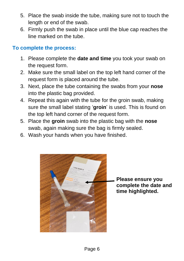- 5. Place the swab inside the tube, making sure not to touch the length or end of the swab.
- 6. Firmly push the swab in place until the blue cap reaches the line marked on the tube.

#### **To complete the process:**

- 1. Please complete the **date and time** you took your swab on the request form.
- 2. Make sure the small label on the top left hand corner of the request form is placed around the tube.
- 3. Next, place the tube containing the swabs from your **nose** into the plastic bag provided.
- 4. Repeat this again with the tube for the groin swab, making sure the small label stating '**groin**' is used. This is found on the top left hand corner of the request form.
- 5. Place the **groin** swab into the plastic bag with the **nose** swab, again making sure the bag is firmly sealed.
- 6. Wash your hands when you have finished.



**Please ensure you complete the date and time highlighted.**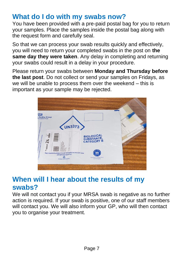## **What do I do with my swabs now?**

You have been provided with a pre-paid postal bag for you to return your samples. Place the samples inside the postal bag along with the request form and carefully seal.

So that we can process your swab results quickly and effectively, you will need to return your completed swabs in the post on **the same day they were taken**. Any delay in completing and returning your swabs could result in a delay in your procedure.

Please return your swabs between **Monday and Thursday before the last post**. Do not collect or send your samples on Fridays, as we will be unable to process them over the weekend – this is important as your sample may be rejected.



## **When will I hear about the results of my swabs?**

We will not contact you if your MRSA swab is negative as no further action is required. If your swab is positive, one of our staff members will contact you. We will also inform your GP, who will then contact you to organise your treatment.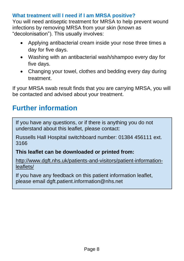#### **What treatment will I need if I am MRSA positive?**

You will need antiseptic treatment for MRSA to help prevent wound infections by removing MRSA from your skin (known as "decolonisation"). This usually involves:

- Applying antibacterial cream inside your nose three times a day for five days.
- Washing with an antibacterial wash/shampoo every day for five days.
- Changing your towel, clothes and bedding every day during treatment.

If your MRSA swab result finds that you are carrying MRSA, you will be contacted and advised about your treatment.

## **Further information**

If you have any questions, or if there is anything you do not understand about this leaflet, please contact:

Russells Hall Hospital switchboard number: 01384 456111 ext. 3166

#### **This leaflet can be downloaded or printed from:**

[http://www.dgft.nhs.uk/patients-and-visitors/patient-information](http://www.dgft.nhs.uk/patients-and-visitors/patient-information-leaflets/)[leaflets/](http://www.dgft.nhs.uk/patients-and-visitors/patient-information-leaflets/)

If you have any feedback on this patient information leaflet, please email dgft.patient.information@nhs.net